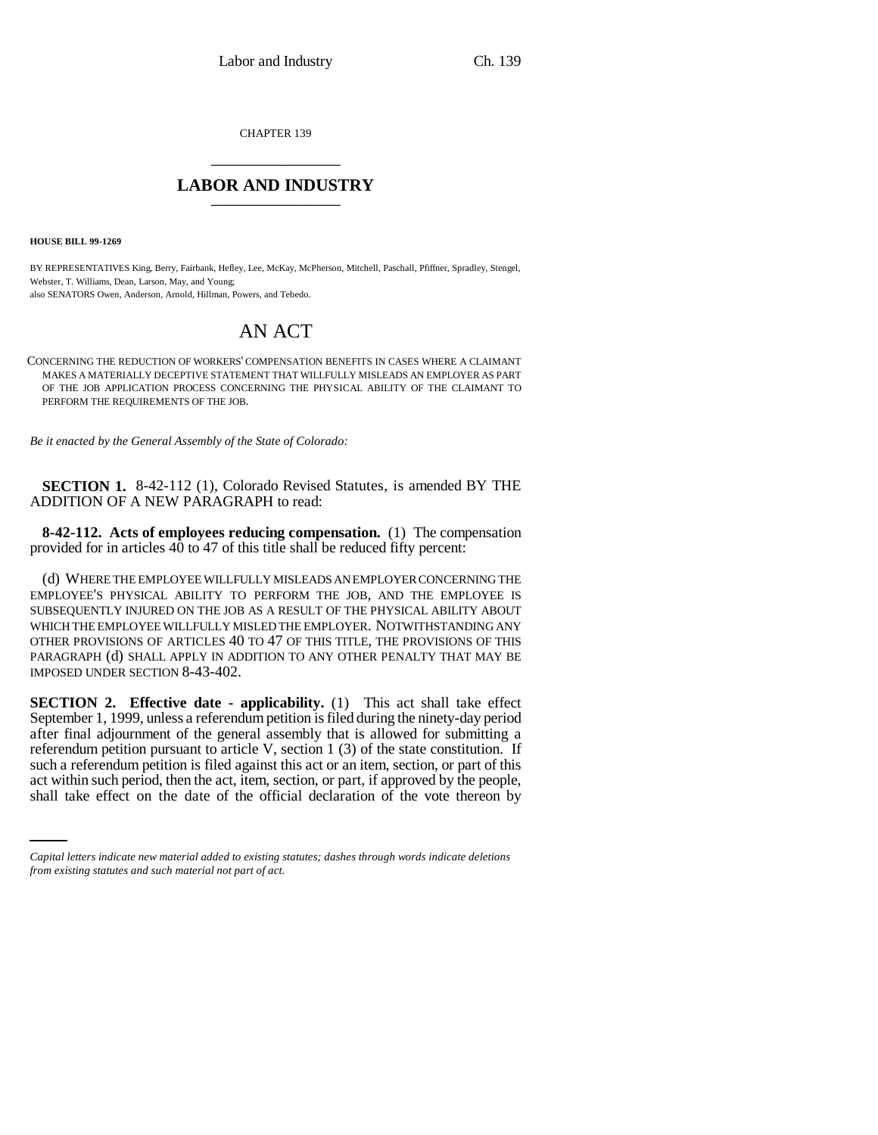CHAPTER 139 \_\_\_\_\_\_\_\_\_\_\_\_\_\_\_

## **LABOR AND INDUSTRY** \_\_\_\_\_\_\_\_\_\_\_\_\_\_\_

**HOUSE BILL 99-1269** 

BY REPRESENTATIVES King, Berry, Fairbank, Hefley, Lee, McKay, McPherson, Mitchell, Paschall, Pfiffner, Spradley, Stengel, Webster, T. Williams, Dean, Larson, May, and Young; also SENATORS Owen, Anderson, Arnold, Hillman, Powers, and Tebedo.

## AN ACT

CONCERNING THE REDUCTION OF WORKERS' COMPENSATION BENEFITS IN CASES WHERE A CLAIMANT MAKES A MATERIALLY DECEPTIVE STATEMENT THAT WILLFULLY MISLEADS AN EMPLOYER AS PART OF THE JOB APPLICATION PROCESS CONCERNING THE PHYSICAL ABILITY OF THE CLAIMANT TO PERFORM THE REQUIREMENTS OF THE JOB.

*Be it enacted by the General Assembly of the State of Colorado:*

**SECTION 1.** 8-42-112 (1), Colorado Revised Statutes, is amended BY THE ADDITION OF A NEW PARAGRAPH to read:

**8-42-112. Acts of employees reducing compensation.** (1) The compensation provided for in articles  $4\overline{0}$  to  $47$  of this title shall be reduced fifty percent:

(d) WHERE THE EMPLOYEE WILLFULLY MISLEADS AN EMPLOYER CONCERNING THE EMPLOYEE'S PHYSICAL ABILITY TO PERFORM THE JOB, AND THE EMPLOYEE IS SUBSEQUENTLY INJURED ON THE JOB AS A RESULT OF THE PHYSICAL ABILITY ABOUT WHICH THE EMPLOYEE WILLFULLY MISLED THE EMPLOYER. NOTWITHSTANDING ANY OTHER PROVISIONS OF ARTICLES 40 TO 47 OF THIS TITLE, THE PROVISIONS OF THIS PARAGRAPH (d) SHALL APPLY IN ADDITION TO ANY OTHER PENALTY THAT MAY BE IMPOSED UNDER SECTION 8-43-402.

such a referendum petition is filed against this act or an item, section, or part of this **SECTION 2. Effective date - applicability.** (1) This act shall take effect September 1, 1999, unless a referendum petition is filed during the ninety-day period after final adjournment of the general assembly that is allowed for submitting a referendum petition pursuant to article V, section 1 (3) of the state constitution. If act within such period, then the act, item, section, or part, if approved by the people, shall take effect on the date of the official declaration of the vote thereon by

*Capital letters indicate new material added to existing statutes; dashes through words indicate deletions from existing statutes and such material not part of act.*